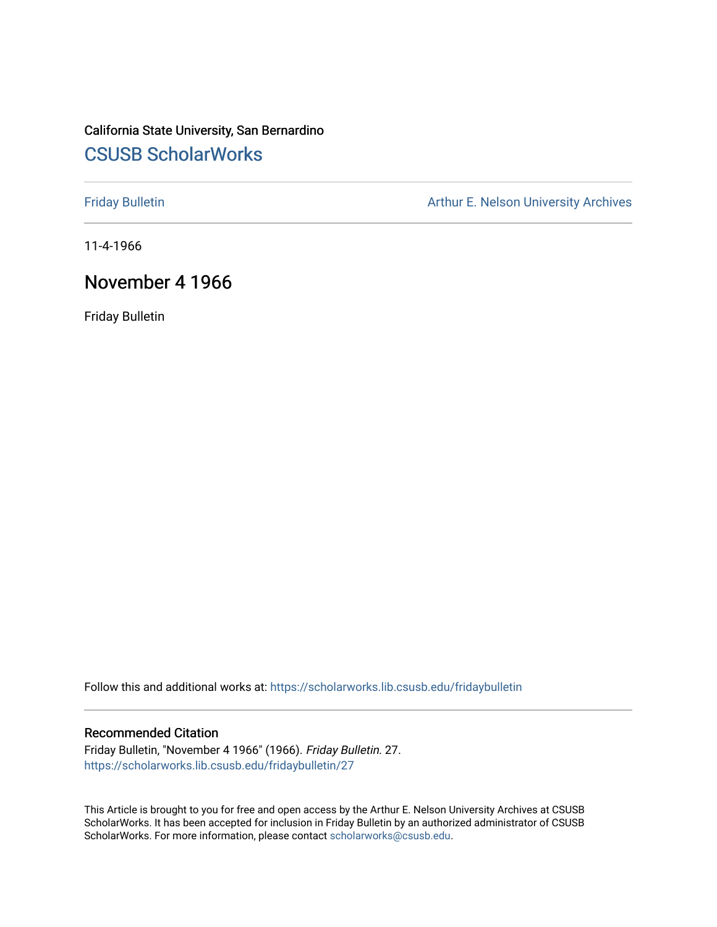## California State University, San Bernardino [CSUSB ScholarWorks](https://scholarworks.lib.csusb.edu/)

[Friday Bulletin](https://scholarworks.lib.csusb.edu/fridaybulletin) **Arthur E. Nelson University Archives** Arthur E. Nelson University Archives

11-4-1966

### November 4 1966

Friday Bulletin

Follow this and additional works at: [https://scholarworks.lib.csusb.edu/fridaybulletin](https://scholarworks.lib.csusb.edu/fridaybulletin?utm_source=scholarworks.lib.csusb.edu%2Ffridaybulletin%2F27&utm_medium=PDF&utm_campaign=PDFCoverPages)

### Recommended Citation

Friday Bulletin, "November 4 1966" (1966). Friday Bulletin. 27. [https://scholarworks.lib.csusb.edu/fridaybulletin/27](https://scholarworks.lib.csusb.edu/fridaybulletin/27?utm_source=scholarworks.lib.csusb.edu%2Ffridaybulletin%2F27&utm_medium=PDF&utm_campaign=PDFCoverPages) 

This Article is brought to you for free and open access by the Arthur E. Nelson University Archives at CSUSB ScholarWorks. It has been accepted for inclusion in Friday Bulletin by an authorized administrator of CSUSB ScholarWorks. For more information, please contact [scholarworks@csusb.edu.](mailto:scholarworks@csusb.edu)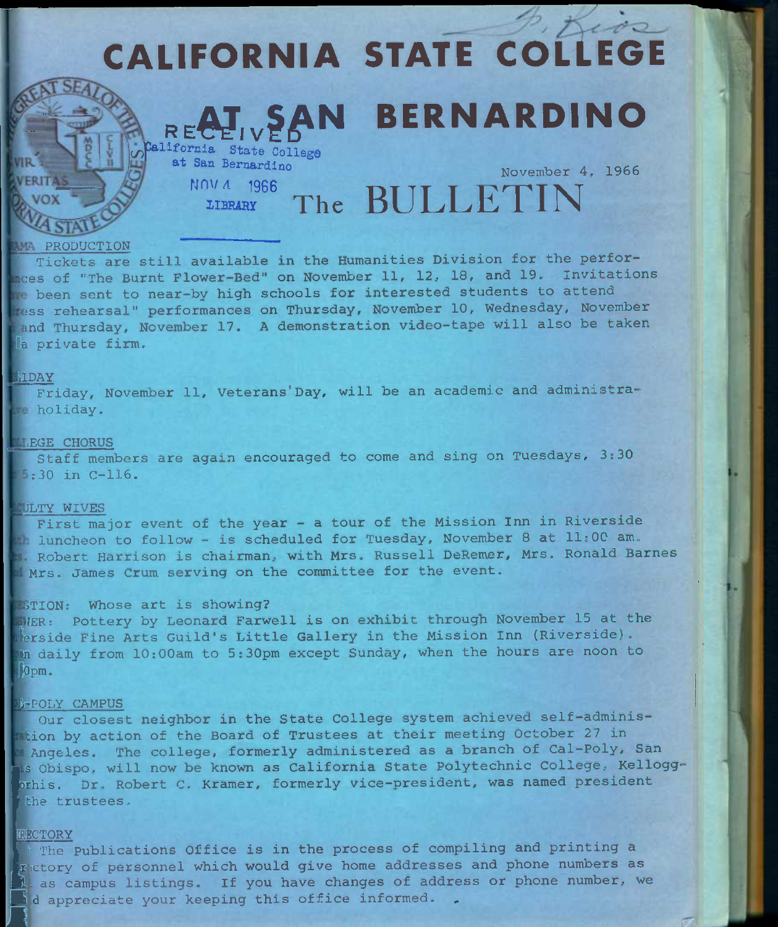# CALIFORNIA STATE COLLEGE RECHIVEAN BERNARDINO California State College at San Bernardino rinv A 1966 LIBRARY The BULLETIN November 4, 1966

#### **AMA PRODUCTION**

Tickets are still available in the Humanities Division for the perfor nces of "The Burnt Flower-Bed" on November 11, 12, 18, and 19. Invitations been sent to near-by high schools for interested students to attend iss rehearsal" performances on Thursday, November 10, Wednesday, November and Thursday, November 17. A demonstration video-tape will also be taken la private firm.

### **LIDAY**

Friday, November 11, Veterans'Day, will be an academic and administra**holiday.** 

### **LEGE CHORUS**

Staff members are again encouraged to come and sing on Tuesdays, 3:30 ;30 in C-116.

### **JLTY WIVES**

First major event of the year - a tour of the Mission Inn in Riverside luncheon to follow - is scheduled for Tuesday, November 8 at 11:00 am. Robert Harrison is chairman, with Mrs. Russell DeRemer, Mrs. Ronald Barnes Mrs. James Crum serving on the committee for the event.

### **JTION:** Whose art is showing?

FIER: Pottery by Leonard Farwell is on exhibit through November 15 at the erside Fine Arts Guild's Little Gallery in the Mission Inn (Riverside). In daily from 10:00am to 5:30pm except Sunday, when the hours are noon to jopm.

### :,-FOLY CAMPUS

Our closest neighbor in the State College system achieved self-adminiswhion by action of the Board of Trustees at their meeting October 27 in Angeles. The college, formerly administered as a branch of Cal-Poly, San s Obispo, will now be known as California State Polytechnic College, Kelloggorhis. Dr. Robert C. Kramer, formerly vice-president, was named president the trustees.

### [RBCTORY

*M* 

The Publications Office is in the process of compiling and printing a pretory of personnel which would give home addresses and phone numbers as 1. as campus listings. If you have changes of address or phone number, we  $\Lambda$ d appreciate your keeping this office informed.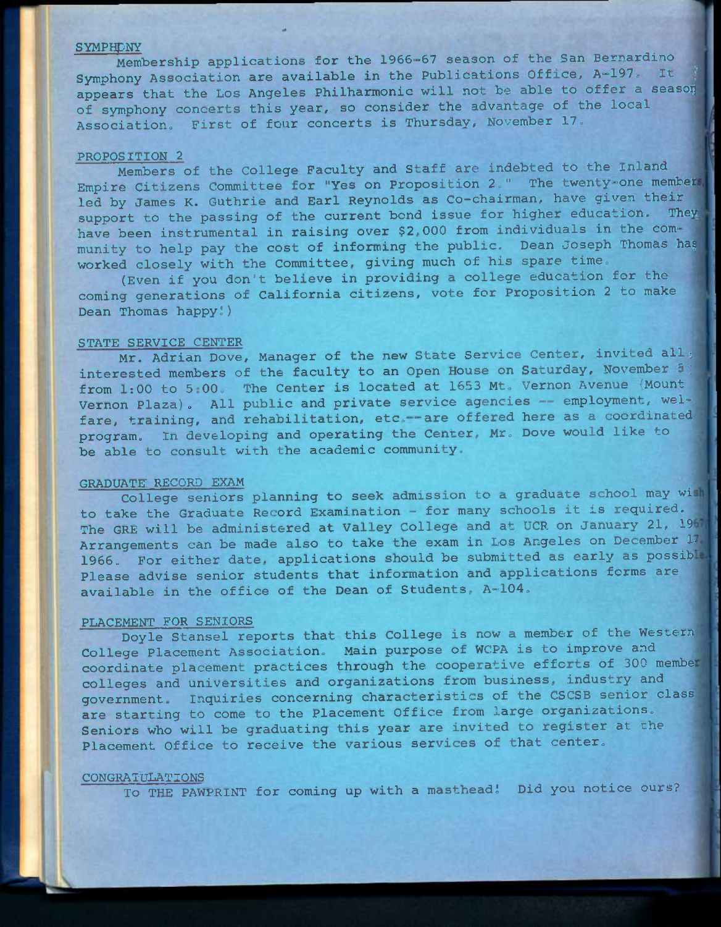### **SYMPHONY**

Membership applications for the 1966-67 season of the San Bernardino ^ Symphony Association are available in the Publications Office, A-197. It appears that the Los Angeles Philharmonic will not be able to offer a season of symphony concerts this year, so consider the advantage of the local Association. First of four concerts is Thursday, November 17.

### PROPOSITION 2

Members of the College Faculty and Staff are indebted to the Inland Empire Citizens Committee for "Yes on Proposition 2." The twenty-one member led by James K. Guthrie and Earl Reynolds as Co-chairman, have given their support to the passing of the current bond issue for higher education. They have been instrumental in raising over \$2,000 from individuals in the community to help pay the cost of informing the public. Dean Joseph Thomas has worked closely with the Committee, giving much of his spare time.

(Even if you don't believe in providing a college education for the coming generations of California citizens, vote for Proposition 2 to make Dean Thomas happy!)

#### STATE SERVICE CENTER

Mr. Adrian Dove, Manager of the new State Service Center, invited all : interested members of the faculty to an Open House on Saturday, November 5 from 1:00 to 5:00. The Center is located at 1653 Mt. Vernon Avenue (Mount Vernon Plaza). All public and private service agencies — employment, welfare, training, and rehabilitation, etc.--are offered here as a coordinated, program. In developing and operating the Center, Mr. Dove would like to be able to consult with the academic community,

### GRADUATE: RECORD EXAM

College seniors planning to seek admission to a graduate school may wi to take the Graduate Record Examination - for many schools it is required. The GRE will be administered at Valley College and at UCR on January 21, 1967 Arrangements can be made also to take the exam in Los Angeles on December 17. 1966. For either date, applications should be submitted as early as possible Please advise senior students that information and applications forms are available in the office of the Dean of Students, A-104.

#### PLACEMENT FOR SENIORS

Doyle Stansel reports that this College is now a member of the Western College Placement Association. Main purpose of WCPA is to improve and coordinate placement practices through the cooperative efforts of 300 membe colleges and universities and organizations from business, industry and government. Inquiries concerning characteristics of the CSCSB senior class are starting to come to the Placement Office from large organizations. Seniors who will be graduating this year are invited to register at the Placement Office to receive the various services of that center.

### CONGRATULATIONS

To THE PAWPRINT for coming up with a masthead! Did you notice ours?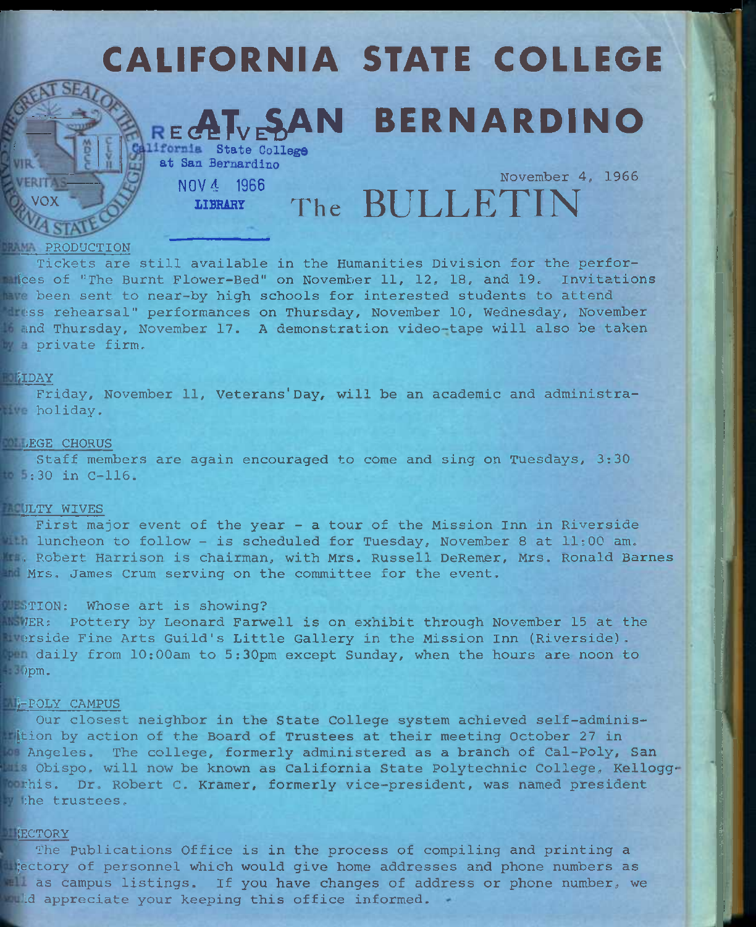# CALIFORNIA STATE COLLEGE **ESAN BERNARDINO** *<u>Ifornia</u>* State College at San Bernardino VOX NOV 4 1966 IIBRAR7 November 4, 1966 **The BULLETIN**

 $\mathbb{Z}^n$ 

### **PAM PRODUCTION**

Tickets are still available in the Humanities Division for the perfor- **Indices of "The Burnt Flower-Bed" on November 11, 12, 18, and 19. Invitations** mme been sent to near-by high schools for interested students to attend **Ites rehearsal" performances on Thursday, November 10, Wednesday, November** in and Thursday, November 17. A demonstration video-tape will also be taken w a private firm.

### **MIDAY**

Friday, November 11, Veterans'Day, will be an academic and administra**the holiday.** 

### **DEGE CHORUS**

Staff members are again encouraged to come and sing on Tuesdays, 3:30 :30 in C-116.

### **THULTY WIVES**

First major event of the year - a tour of the Mission Inn in Riverside Whiluncheon to follow - is scheduled for Tuesday, November 8 at  $11:00$  am. **I.E. Robert Harrison is chairman, with Mrs. Russell DeRemer, Mrs. Ronald Barnes** Mrs, James Crum serving on the committee for the event.

### WEBTION: Whose art is showing?

WER: Pottery by Leonard Farwell is on exhibit through November 15 at the iverside Fine Arts Guild's Little Gallery in the Mission Inn (Riverside). daily from 10:00am to 5;30pm except Sunday, when the hours are noon to ipm.

### **FPOLY CAMPUS**

Our closest neighbor in the State College system achieved self-adminis-Ition by action of the Board of Trustees at their meeting October 27 in Angeles. The college, formerly administered as a branch of Cal-Poly, San Obispo, will now be known as California State Polytechnic College, Kellogg ishis. Dr. Robert C. Kramer, formerly vice-president, was named president the trustees.

### **ECTORY**

The Publications Office is in the process of compiling and printing a **Rectory of personnel which would give home addresses and phone numbers as All as campus listings.** If you have changes of address or phone number, we **Muld appreciate your keeping this office informed.**